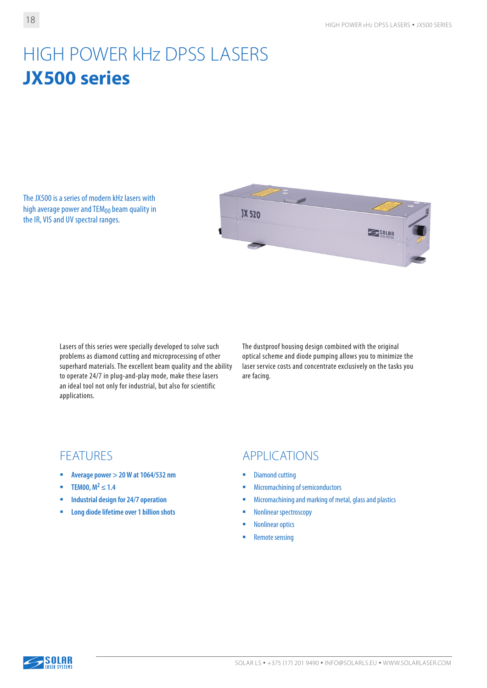# HIGH POWER kHz DPSS LASERS **JХ500 series**

The JX500 is a series of modern kHz lasers with high average power and  $TEM_{00}$  beam quality in the IR, VIS and UV spectral ranges.



Lasers of this series were specially developed to solve such problems as diamond cutting and microprocessing of other superhard materials. The excellent beam quality and the ability to operate 24/7 in plug-and-play mode, make these lasers an ideal tool not only for industrial, but also for scientific applications.

The dustproof housing design combined with the original optical scheme and diode pumping allows you to minimize the laser service costs and concentrate exclusively on the tasks you are facing.

- **Average power > 20 W at 1064/532 nm**
- **TEM00,**  $M^2 \le 1.4$
- **Industrial design for 24/7 operation**
- **Long diode lifetime over 1 billion shots**

#### FEATURES APPLICATIONS

- Diamond cutting
- **Micromachining of semiconductors**
- **Micromachining and marking of metal, glass and plastics**
- **Nonlinear spectroscopy**
- **Nonlinear optics**
- Remote sensing